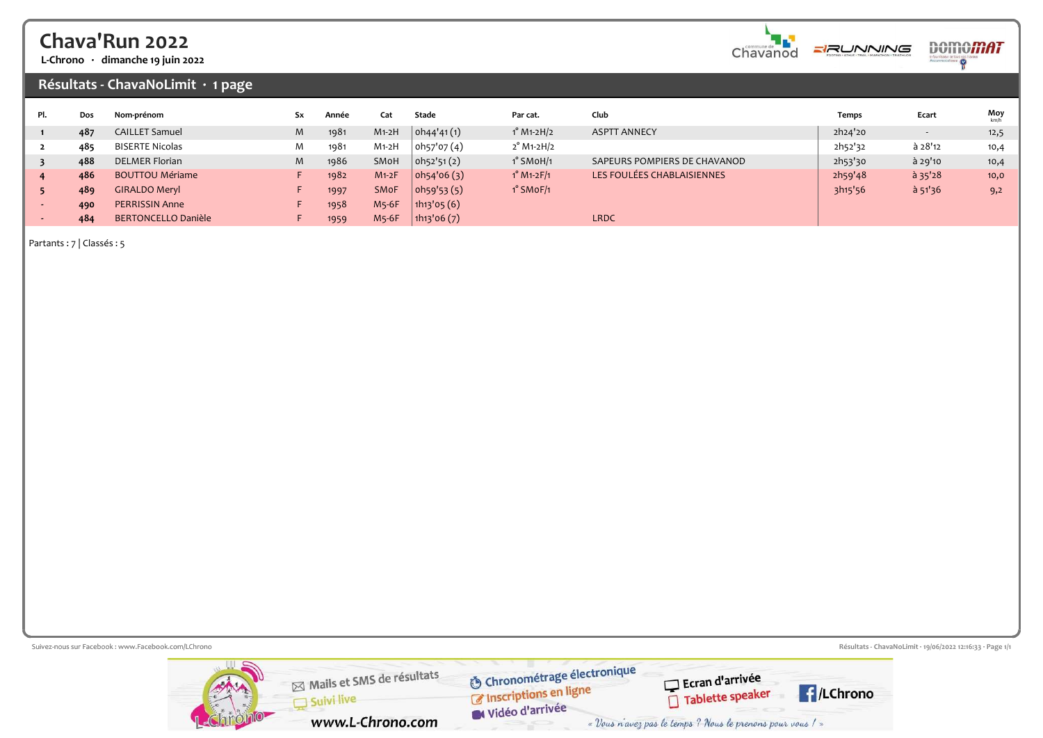## Chava'Run 2022

L-Chrono · dimanche 19 juin 2022

#### Résultats - ChavaNoLimit · 1 page

| Pl. | Dos | Nom-prénom                 | Sx | Année | Cat         | Stade                                | Par cat.                                     | Club                         | Temps   | Ecart     | $Moy$ <sub>km/h</sub> |
|-----|-----|----------------------------|----|-------|-------------|--------------------------------------|----------------------------------------------|------------------------------|---------|-----------|-----------------------|
|     | 487 | <b>CAILLET Samuel</b>      | M  | 1981  | $M1-2H$     | oh44'41(1)                           | $1^{\circ}$ M <sub>1</sub> -2H/ <sub>2</sub> | <b>ASPTT ANNECY</b>          | 2h24'20 |           | 12,5                  |
|     | 485 | <b>BISERTE Nicolas</b>     | M  | 1981  | $M1-2H$     | oh <sub>57</sub> 'o <sub>7</sub> (4) | $2^{\circ}$ M1-2H/2                          |                              | 2h52'32 | à 28'12   | 10,4                  |
|     | 488 | <b>DELMER Florian</b>      | M  | 1986  | SMoH        | oh52'51(2)                           | $1^\circ$ SMoH/1                             | SAPEURS POMPIERS DE CHAVANOD | 2h53'30 | à 29'10   | 10,4                  |
|     | 486 | <b>BOUTTOU Mériame</b>     |    | 1982  | $M1-2F$     | oh54'06(3)                           | $1^{\circ}$ M <sub>1</sub> -2F/1             | LES FOULÉES CHABLAISIENNES   | 2h59'48 | $a$ 35'28 | 10,0                  |
|     | 489 | <b>GIRALDO Meryl</b>       |    | 1997  | <b>SMoF</b> | oh59'53(5)                           | $1°$ SMoF/1                                  |                              | 3h15'56 | $a$ 51'36 | 9,2                   |
|     | 490 | <b>PERRISSIN Anne</b>      |    | 1958  | M5-6F       | $\ln_{13}$ '05 $(6)$                 |                                              |                              |         |           |                       |
|     | 484 | <b>BERTONCELLO Danièle</b> |    | 1959  | M5-6F       | 1h13'06(7)                           |                                              | <b>LRDC</b>                  |         |           |                       |

Partants : 7 | Classés : 5

Suivez-nous sur Facebook : www.Facebook.com/LChrono  $\mathbb{R}^3$  Page 1/1 Chronométrage électronique Mails et SMS de résultats Ecran d'arrivée Chronomeu age exercise Tablette speaker Suivi live Widéo d'arrivée

www.L-Chrono.com

**E**/LChrono

« Vous n'avez pas le temps ? Nous le prenons pour vous ! »

**DOMOMAT** 

 $\frac{1}{2}$ 

шŊ.

Chavanod

**ERUNNING**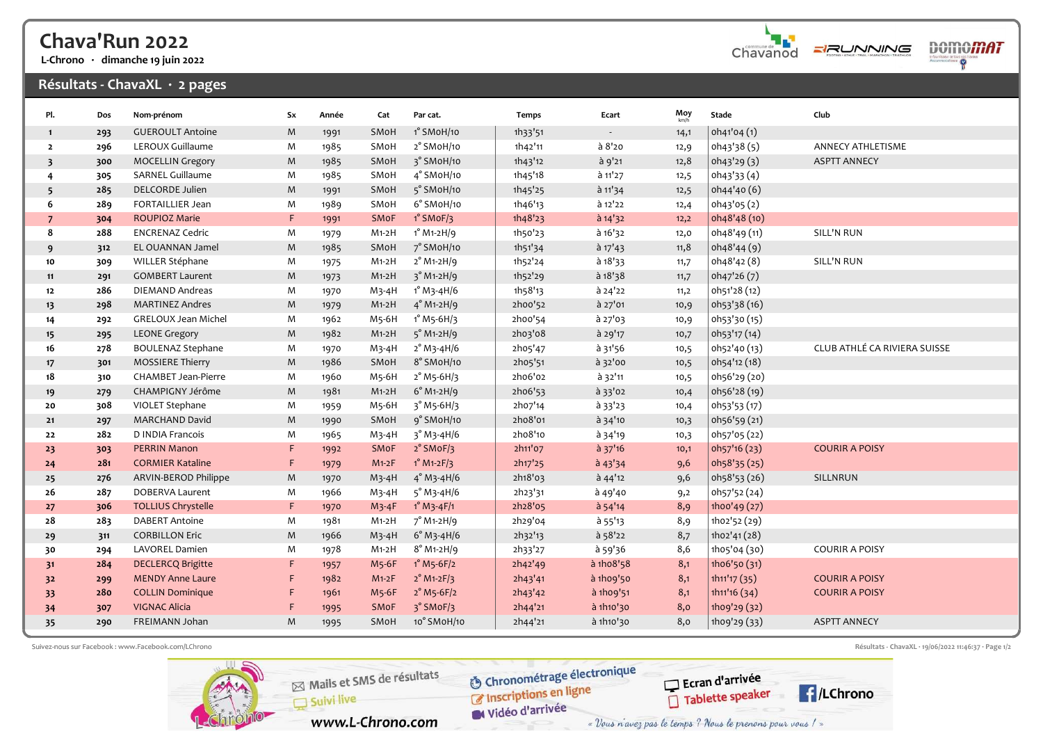## Chava'Run 2022

L-Chrono · dimanche 19 juin 2022

### Résultats - ChavaXL · 2 pages



**DOMOMAT**  $\ddot{\mathsf{P}}$ 

| Pl.                     | Dos | Nom-prénom                 | Sx          | Année | Cat      | Par cat.                                     | Temps   | Ecart                    | Moy  | Stade        | Club                         |
|-------------------------|-----|----------------------------|-------------|-------|----------|----------------------------------------------|---------|--------------------------|------|--------------|------------------------------|
| $\mathbf{1}$            | 293 | <b>GUEROULT Antoine</b>    | M           | 1991  | SMoH     | 1° SMoH/10                                   | 1h33'51 | $\overline{\phantom{a}}$ | 14,1 | oh41'04 (1)  |                              |
| $\overline{2}$          | 296 | LEROUX Guillaume           | M           | 1985  | SMoH     | 2° SMoH/10                                   | 1h42'11 | à 8'20                   | 12,9 | oh43'38(5)   | <b>ANNECY ATHLETISME</b>     |
| $\overline{\mathbf{3}}$ | 300 | <b>MOCELLIN Gregory</b>    | M           | 1985  | SMoH     | 3° SMoH/10                                   | 1h43'12 | à 9'21                   | 12,8 | oh43'29(3)   | <b>ASPTT ANNECY</b>          |
| 4                       | 305 | <b>SARNEL Guillaume</b>    | M           | 1985  | SMoH     | 4° SMoH/10                                   | 1h45'18 | à 11'27                  | 12,5 | oh43'33 (4)  |                              |
| 5                       | 285 | DELCORDE Julien            | M           | 1991  | SMoH     | 5° SMoH/10                                   | 1h45'25 | $\hat{a}$ 11'34          | 12,5 | oh44'40 (6)  |                              |
| 6                       | 289 | <b>FORTAILLIER Jean</b>    | M           | 1989  | SMoH     | 6° SMoH/10                                   | 1h46'13 | à 12'22                  | 12,4 | oh43'05(2)   |                              |
| $\overline{7}$          | 304 | <b>ROUPIOZ Marie</b>       | F           | 1991  | SMoF     | $1^\circ$ SMoF/3                             | 1h48'23 | $a$ 14'32                | 12,2 | oh48'48 (10) |                              |
| 8                       | 288 | <b>ENCRENAZ Cedric</b>     | M           | 1979  | $M1-2H$  | $1^{\circ}$ M1-2H/9                          | 1h50'23 | $a$ 16'32                | 12,0 | oh48'49 (11) | <b>SILL'N RUN</b>            |
| 9                       | 312 | EL OUANNAN Jamel           | M           | 1985  | SMoH     | 7° SMoH/10                                   | 1h51'34 | $a$ 17'43                | 11,8 | oh48'44 (9)  |                              |
| 10                      | 309 | WILLER Stéphane            | M           | 1975  | $M1-2H$  | $2^{\circ}$ M1-2H/9                          | 1h52'24 | à 18'33                  | 11,7 | oh48'42(8)   | SILL'N RUN                   |
| 11                      | 291 | <b>GOMBERT Laurent</b>     | M           | 1973  | $M1-2H$  | $3^{\circ}$ M <sub>1</sub> -2H/9             | 1h52'29 | $a$ 18'38                | 11,7 | oh47'26(7)   |                              |
| 12                      | 286 | <b>DIEMAND Andreas</b>     | M           | 1970  | $M_3-4H$ | 1° M3-4H/6                                   | 1h58'13 | à 24'22                  | 11,2 | oh51'28 (12) |                              |
| 13                      | 298 | <b>MARTINEZ Andres</b>     | M           | 1979  | $M1-2H$  | $4^{\circ}$ M <sub>1</sub> -2H/9             | 2hoo'52 | à 27'01                  | 10,9 | oh53'38 (16) |                              |
| 14                      | 292 | <b>GRELOUX Jean Michel</b> | M           | 1962  | M5-6H    | 1° M5-6H/3                                   | 2hoo'54 | $a$ 27'03                | 10,9 | oh53'30 (15) |                              |
| $15 \,$                 | 295 | <b>LEONE Gregory</b>       | M           | 1982  | $M1-2H$  | $5^\circ$ M1-2H/9                            | 2h03'08 | à 29'17                  | 10,7 | oh53'17 (14) |                              |
| 16                      | 278 | <b>BOULENAZ Stephane</b>   | M           | 1970  | $M_3-4H$ | $2^{\circ}$ M <sub>3</sub> -4H/6             | 2ho5'47 | à 31'56                  | 10,5 | oh52'40 (13) | CLUB ATHLÉ CA RIVIERA SUISSE |
| 17                      | 301 | <b>MOSSIERE Thierry</b>    | M           | 1986  | SMoH     | 8° SMoH/10                                   | 2h05'51 | à 32'00                  | 10,5 | oh54'12 (18) |                              |
| 18                      | 310 | <b>CHAMBET Jean-Pierre</b> | M           | 1960  | M5-6H    | $2^{\circ}$ M <sub>5</sub> -6H/3             | 2h06'02 | à 32'11                  | 10,5 | oh56'29 (20) |                              |
| 19                      | 279 | CHAMPIGNY Jérôme           | M           | 1981  | $M1-2H$  | $6°$ M <sub>1</sub> -2H/9                    | 2ho6'53 | à 33'02                  | 10,4 | oh56'28 (19) |                              |
| 20                      | 308 | VIOLET Stephane            | M           | 1959  | M5-6H    | $3^{\circ}$ M <sub>5</sub> -6H/3             | 2ho7'14 | à 33'23                  | 10,4 | oh53'53 (17) |                              |
| 21                      | 297 | <b>MARCHAND David</b>      | M           | 1990  | SMoH     | 9° SMoH/10                                   | 2ho8'01 | $a$ 34'10                | 10,3 | oh56'59 (21) |                              |
| 22                      | 282 | D INDIA Francois           | M           | 1965  | $M_3-4H$ | $3^{\circ}$ M <sub>3</sub> -4H/6             | 2ho8'10 | à 34'19                  | 10,3 | oh57'05 (22) |                              |
| 23                      | 303 | <b>PERRIN Manon</b>        | F           | 1992  | SMoF     | $2°$ SMoF/3                                  | 2h11'07 | $a$ 37'16                | 10,1 | oh57'16 (23) | <b>COURIR A POISY</b>        |
| 24                      | 281 | <b>CORMIER Kataline</b>    | $\mathsf F$ | 1979  | $M1-2F$  | $1^{\circ}$ M <sub>1</sub> -2F/3             | 2h17'25 | $a$ 43'34                | 9,6  | oh58'35 (25) |                              |
| 25                      | 276 | ARVIN-BEROD Philippe       | M           | 1970  | $M_3-4H$ | $4^{\circ}$ M <sub>3</sub> -4H/6             | 2h18'03 | $a$ 44'12                | 9,6  | oh58'53 (26) | SILLNRUN                     |
| 26                      | 287 | <b>DOBERVA Laurent</b>     | M           | 1966  | $M_3-4H$ | $5^{\circ}$ M <sub>3</sub> -4H/6             | 2h23'31 | à 49'40                  | 9,2  | oh57'52 (24) |                              |
| 27                      | 306 | <b>TOLLIUS Chrystelle</b>  | F           | 1970  | $M_3-4F$ | $1^{\circ}$ M <sub>3</sub> -4F/1             | 2h28'05 | $a$ 54'14                | 8,9  | 1hoo'49(27)  |                              |
| 28                      | 283 | <b>DABERT Antoine</b>      | M           | 1981  | $M1-2H$  | $7°$ M <sub>1</sub> -2H/9                    | 2h29'04 | à 55'13                  | 8,9  | 1h02'52 (29) |                              |
| 29                      | 311 | <b>CORBILLON Eric</b>      | M           | 1966  | $M_3-4H$ | $6°M3-4H/6$                                  | 2h32'13 | à 58'22                  | 8,7  | 1ho2'41(28)  |                              |
| 30                      | 294 | LAVOREL Damien             | M           | 1978  | $M1-2H$  | $8^{\circ}$ M <sub>1</sub> -2H/9             | 2h33'27 | à 59'36                  | 8,6  | 1h05'04 (30) | <b>COURIR A POISY</b>        |
| 31                      | 284 | <b>DECLERCQ Brigitte</b>   | F           | 1957  | M5-6F    | $1^{\circ}$ M <sub>5</sub> -6F/ <sub>2</sub> | 2h42'49 | à 1ho8'58                | 8,1  | 1h06'50 (31) |                              |
| 32                      | 299 | <b>MENDY Anne Laure</b>    | F           | 1982  | $M1-2F$  | $2^{\circ}$ M <sub>1</sub> -2F/3             | 2h43'41 | à 1h09'50                | 8,1  | 1h11'17(35)  | <b>COURIR A POISY</b>        |
| 33                      | 280 | <b>COLLIN Dominique</b>    | F           | 1961  | M5-6F    | $2^{\circ}$ M5-6F/2                          | 2h43'42 | à 1ho9'51                | 8,1  | 1h11'16(34)  | <b>COURIR A POISY</b>        |
| 34                      | 307 | <b>VIGNAC Alicia</b>       | F           | 1995  | SMoF     | 3° SMoF/3                                    | 2h44'21 | à 1h10'30                | 8,0  | 1ho9'29 (32) |                              |
| 35                      | 290 | <b>FREIMANN Johan</b>      | M           | 1995  | SMoH     | 10° SMoH/10                                  | 2h44'21 | à 1h10'30                | 8,0  | 1ho9'29 (33) | <b>ASPTT ANNECY</b>          |

Suivez-nous sur Facebook : www.Facebook.com/LChrono  $\mathbb{R}^2$  rage 1/2



Mails et SMS de résultats Suivi live www.L-Chrono.com

Chronométrage électronique Chronomeu age exercicles

Ecran d'arrivée

Tablette speaker

Widéo d'arrivée « Vous n'avez pas le temps ? Nous le prenons pour vous ! »

**E**/LChrono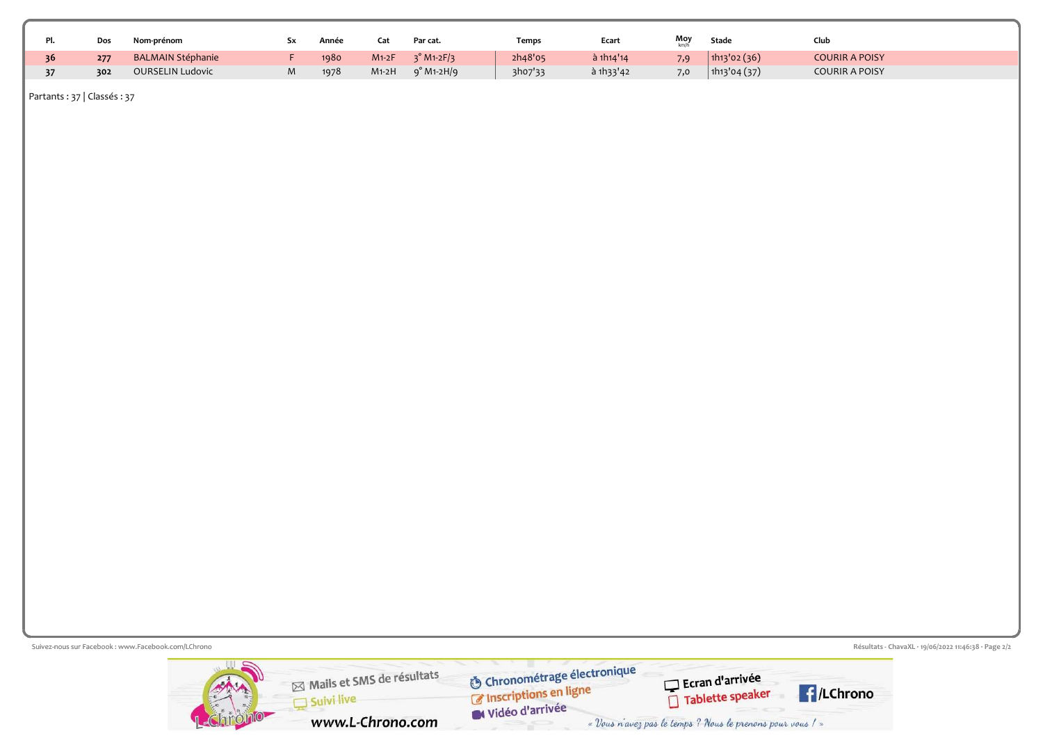|    | Dos | Nom-prénom               | Année | Lat     | Par cat.                         | Temps   | Ecart             | Moy | Stade        | Club                  |  |
|----|-----|--------------------------|-------|---------|----------------------------------|---------|-------------------|-----|--------------|-----------------------|--|
| 36 | 277 | <b>BALMAIN Stéphanie</b> | 1980  | $M1-2F$ | $3^{\circ}$ M <sub>1</sub> -2F/3 | 2h48'05 | $\hat{a}$ 1h14'14 | 7,9 | 1h13'02(36)  | <b>COURIR A POISY</b> |  |
|    | 302 | <b>OURSELIN Ludovic</b>  | 1978  | $M1-2H$ | $9°$ M1-2H/9                     | 3ho7'33 | à 1h33'42         | 7,0 | 1h13'04 (37) | <b>COURIR A POISY</b> |  |

Partants : 37 | Classés : 37

Suivez-nous sur Facebook : www.Facebook.com/LChrono  $\mathbb{Z}_2$  rage  $\mathbb{Z}/2$  rage  $\mathbb{Z}/2$ **S** Chronométrage électronique Mails et SMS de résultats Ecran d'arrivée<br><u>De Tablette</u> speaker **F**/LChrono Suivi live Widéo d'arrivée www.L-Chrono.com « Vous n'avez pas le temps ? Nous le prenons pour vous ! »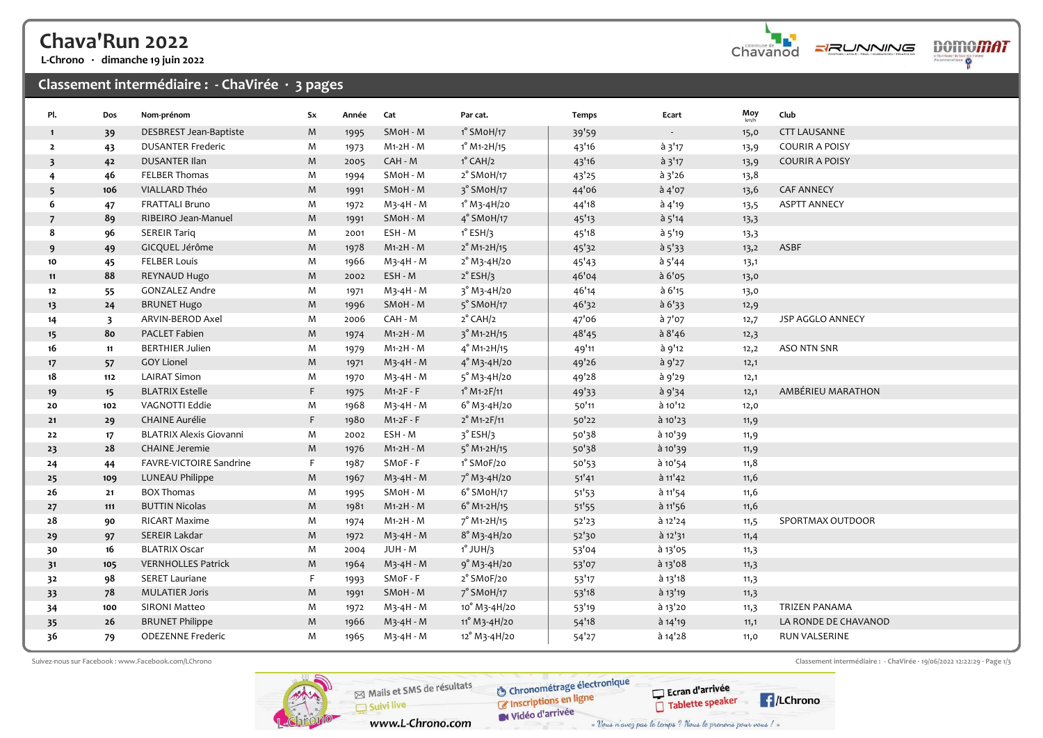# Chava'Run 2022

L-Chrono · dimanche 19 juin 2022

### Classement intermédiaire : - ChaVirée · 3 pages

| Pl.                     | Dos                     | Nom-prénom                     | Sx          | Année | Cat                    | Par cat.                               | Temps | Ecart      | $Moy$ <sub>km/h</sub> | Club                  |
|-------------------------|-------------------------|--------------------------------|-------------|-------|------------------------|----------------------------------------|-------|------------|-----------------------|-----------------------|
| $\mathbf{1}$            | 39                      | DESBREST Jean-Baptiste         | M           | 1995  | SMoH - M               | 1° SMoH/17                             | 39'59 | $\sim$     | 15,0                  | <b>CTT LAUSANNE</b>   |
| $\overline{2}$          | 43                      | <b>DUSANTER Frederic</b>       | M           | 1973  | M1-2H - M              | 1° M1-2H/15                            | 43'16 | à 3'17     | 13,9                  | <b>COURIR A POISY</b> |
| $\overline{\mathbf{3}}$ | 42                      | <b>DUSANTER Ilan</b>           | M           | 2005  | CAH - M                | $1^\circ$ CAH/2                        | 43'16 | $a$ 3'17   | 13,9                  | <b>COURIR A POISY</b> |
| $\overline{4}$          | 46                      | FELBER Thomas                  | M           | 1994  | SMoH - M               | 2° SMoH/17                             | 43'25 | $a$ 3'26   | 13,8                  |                       |
| 5                       | 106                     | VIALLARD Théo                  | M           | 1991  | SMoH - M               | 3° SMoH/17                             | 44'06 | $a$ 4'07   | 13,6                  | <b>CAF ANNECY</b>     |
| 6                       | 47                      | <b>FRATTALI Bruno</b>          | M           | 1972  | M3-4H - M              | 1° M3-4H/20                            | 44'18 | à 4'19     | 13,5                  | <b>ASPTT ANNECY</b>   |
| $\overline{7}$          | 89                      | RIBEIRO Jean-Manuel            | M           | 1991  | SMoH - M               | $4^\circ$ SMoH/17                      | 45'13 | a 5'14     | 13,3                  |                       |
| 8                       | 96                      | <b>SEREIR Tariq</b>            | M           | 2001  | ESH - M                | $1^\circ$ ESH/3                        | 45'18 | à 5'19     | 13,3                  |                       |
| 9                       | 49                      | GICQUEL Jérôme                 | M           | 1978  | $M1-2H - M$            | $2^{\circ}$ M1-2H/15                   | 45'32 | $a_{5'33}$ | 13,2                  | ASBF                  |
| 10                      | 45                      | <b>FELBER Louis</b>            | M           | 1966  | M3-4H - M              | 2° M3-4H/20                            | 45'43 | à 5'44     | 13,1                  |                       |
| 11                      | 88                      | REYNAUD Hugo                   | $M_{\odot}$ | 2002  | ESH - M                | $2^{\circ}$ ESH/3                      | 46'04 | à 6'05     | 13,0                  |                       |
| $12$                    | 55                      | <b>GONZALEZ Andre</b>          | M           | 1971  | M3-4H - M              | $3°$ M <sub>3</sub> -4H/20             | 46'14 | à 6'15     | 13,0                  |                       |
| 13                      | 24                      | <b>BRUNET Hugo</b>             | $M_{\odot}$ | 1996  | SMoH - M               | 5° SMoH/17                             | 46'32 | a 6'33     | 12,9                  |                       |
| 14                      | $\overline{\mathbf{3}}$ | ARVIN-BEROD Axel               | M           | 2006  | CAH - M                | $2^{\circ}$ CAH/2                      | 47'06 | à 7'07     | 12,7                  | JSP AGGLO ANNECY      |
| 15                      | 80                      | PACLET Fabien                  | $M_{\odot}$ | 1974  | $M1-2H - M$            | 3° M1-2H/15                            | 48'45 | a 8'46     | 12,3                  |                       |
| 16                      | 11                      | <b>BERTHIER Julien</b>         | M           | 1979  | $M1-2H - M$            | $4^{\circ}$ M1-2H/15                   | 49'11 | à 9'12     | 12,2                  | ASO NTN SNR           |
| 17                      | 57                      | <b>GOY Lionel</b>              | $M_{\odot}$ | 1971  | M3-4H - M              | $4°$ M3-4H/20                          | 49'26 | à 9'27     | 12,1                  |                       |
| 18                      | $112$                   | <b>LAIRAT Simon</b>            | M           | 1970  | M <sub>3</sub> -4H - M | $5^{\circ}$ M <sub>3</sub> -4H/20      | 49'28 | à 9'29     | 12,1                  |                       |
| 19                      | 15 <sub>15</sub>        | <b>BLATRIX Estelle</b>         | F           | 1975  | $M1-2F - F$            | $1^{\circ}$ M1-2F/11                   | 49'33 | à 9'34     | 12,1                  | AMBÉRIEU MARATHON     |
| 20                      | 102                     | VAGNOTTI Eddie                 | M           | 1968  | M <sub>3</sub> -4H - M | $6°M_3-4H/20$                          | 50'11 | à 10'12    | 12,0                  |                       |
| 21                      | 29                      | <b>CHAINE Aurélie</b>          | F.          | 1980  | $M1-2F - F$            | $2^{\circ}$ M1-2F/11                   | 50'22 | à 10'23    | 11,9                  |                       |
| 22                      | 17                      | <b>BLATRIX Alexis Giovanni</b> | M           | 2002  | ESH - M                | $3°$ ESH/3                             | 50'38 | à 10'39    | 11,9                  |                       |
| 23                      | 28                      | <b>CHAINE Jeremie</b>          | M           | 1976  | M1-2H - M              | 5° M1-2H/15                            | 50'38 | à 10'39    | 11,9                  |                       |
| 24                      | 44                      | FAVRE-VICTOIRE Sandrine        | F           | 1987  | SMoF-F                 | 1° SMoF/20                             | 50'53 | à 10'54    | 11,8                  |                       |
| 25                      | 109                     | LUNEAU Philippe                | $M_{\odot}$ | 1967  | M3-4H - M              | 7° M3-4H/20                            | 51'41 | à 11'42    | 11,6                  |                       |
| 26                      | 21                      | <b>BOX Thomas</b>              | M           | 1995  | SMoH - M               | 6° SMoH/17                             | 51'53 | $a$ 11'54  | 11,6                  |                       |
| 27                      | 111                     | <b>BUTTIN Nicolas</b>          | M           | 1981  | M1-2H - M              | $6°$ M <sub>1</sub> -2H/ <sub>15</sub> | 51'55 | à 11'56    | 11,6                  |                       |
| 28                      | 90                      | RICART Maxime                  | M           | 1974  | M1-2H - M              | 7° M1-2H/15                            | 52'23 | à 12'24    | 11,5                  | SPORTMAX OUTDOOR      |
| 29                      | 97                      | SEREIR Lakdar                  | M           | 1972  | M3-4H - M              | $8^{\circ}$ M <sub>3</sub> -4H/20      | 52'30 | à 12'31    | 11,4                  |                       |
| 30                      | 16                      | <b>BLATRIX Oscar</b>           | M           | 2004  | JUH - M                | $1^\circ$ JUH/3                        | 53'04 | à 13'05    | 11,3                  |                       |
| 31                      | 105                     | <b>VERNHOLLES Patrick</b>      | M           | 1964  | M3-4H - M              | 9° M3-4H/20                            | 53'07 | à 13'08    | 11,3                  |                       |
| 32                      | 98                      | <b>SERET Lauriane</b>          | F           | 1993  | SMoF - F               | 2° SMoF/20                             | 53'17 | $a$ 13'18  | 11,3                  |                       |
| 33                      | 78                      | <b>MULATIER Joris</b>          | M           | 1991  | SMoH - M               | 7° SMoH/17                             | 53'18 | à 13'19    | 11,3                  |                       |
| 34                      | 100                     | SIRONI Matteo                  | M           | 1972  | $M_3-4H - M$           | 10° M3-4H/20                           | 53'19 | à 13'20    | 11,3                  | TRIZEN PANAMA         |
| 35                      | 26                      | <b>BRUNET Philippe</b>         | M           | 1966  | $M_3-4H - M$           | 11° M3-4H/20                           | 54'18 | à 14'19    | 11,1                  | LA RONDE DE CHAVANOD  |
| 36                      | 79                      | <b>ODEZENNE Frederic</b>       | M           | 1965  | $M_3-4H - M$           | 12° M3-4H/20                           | 54'27 | à 14'28    | 11,0                  | RUN VALSERINE         |



Mails et SMS de résultats  $S$  suivi live www.L-Chrono.com

**O** Chronométrage électronique Chronometrage

Suivez-nous sur Facebook : www.Facebook.com/LChrono Classement intermédiaire : - ChaVirée · 19/06/2022 12:22:29 · Page 1/3

Ecran d'arrivée Tablette speaker **E**/LChrono

Chavanod

**ERUNNING** 

**DOMOMAT**  $\mathbf{P}$ 

Vidéo d'arrivée « Vous n'avez pas le temps ? Nous le prenons pour vous ! »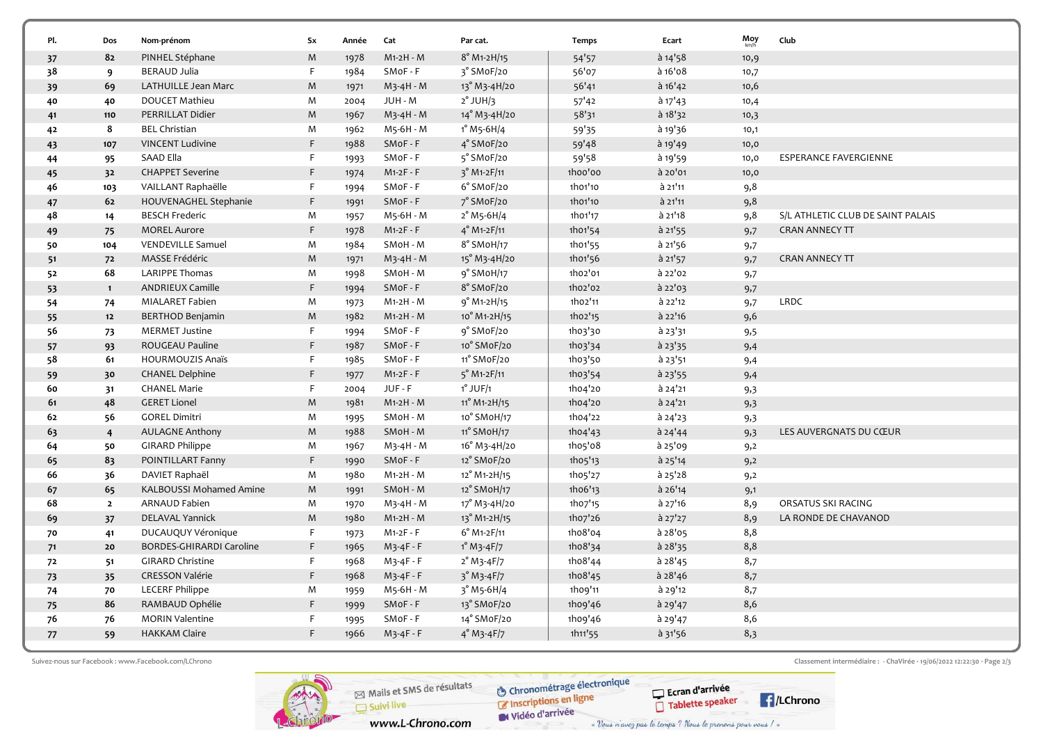| Pl.<br>37 | Dos<br>82      | Nom-prénom                      | Sx | Année | Cat          | Par cat.                                      | <b>Temps</b> | Ecart     | $Moy$ <sub>km/h</sub> | Club                              |
|-----------|----------------|---------------------------------|----|-------|--------------|-----------------------------------------------|--------------|-----------|-----------------------|-----------------------------------|
|           |                |                                 |    |       |              |                                               |              |           |                       |                                   |
|           |                | PINHEL Stéphane                 | M  | 1978  | M1-2H - M    | $8^{\circ}$ M <sub>1</sub> -2H/ <sub>15</sub> | 54'57        | $a$ 14'58 | 10,9                  |                                   |
| 38        | 9              | <b>BERAUD Julia</b>             | F. | 1984  | SMoF - F     | 3° SMoF/20                                    | 56'07        | à 16'08   | 10,7                  |                                   |
| 39        | 69             | LATHUILLE Jean Marc             | M  | 1971  | $M_3-4H - M$ | 13° M3-4H/20                                  | 56'41        | $a$ 16'42 | 10,6                  |                                   |
| 40        | 40             | <b>DOUCET Mathieu</b>           | M  | 2004  | JUH - M      | $2^\circ$ JUH/3                               | 57'42        | $a$ 17'43 | 10,4                  |                                   |
| 41        | 110            | PERRILLAT Didier                | M  | 1967  | M3-4H - M    | 14° M3-4H/20                                  | 58'31        | a 18'32   | 10,3                  |                                   |
| 42        | 8              | <b>BEL Christian</b>            | M  | 1962  | M5-6H - M    | $1^{\circ}$ M <sub>5</sub> -6H/4              | 59'35        | à 19'36   | 10,1                  |                                   |
| 43        | 107            | <b>VINCENT Ludivine</b>         | F  | 1988  | SMoF-F       | 4° SMoF/20                                    | 59'48        | à 19'49   | 10,0                  |                                   |
| 44        | 95             | SAAD Ella                       | F  | 1993  | SMoF - F     | 5° SMoF/20                                    | 59'58        | à 19'59   | 10,0                  | <b>ESPERANCE FAVERGIENNE</b>      |
| 45        | 32             | <b>CHAPPET Severine</b>         | F. | 1974  | $M1-2F - F$  | $3^{\circ}$ M <sub>1</sub> -2F/11             | 1hoo'oo      | à 20'01   | 10,0                  |                                   |
| 46        | 103            | VAILLANT Raphaëlle              | F  | 1994  | SMoF - F     | 6° SMoF/20                                    | 1h01'10      | à 21'11   | 9,8                   |                                   |
| 47        | 62             | HOUVENAGHEL Stephanie           | F. | 1991  | SMoF-F       | 7° SM oF/20                                   | 1h01'10      | à 21'11   | 9,8                   |                                   |
| 48        | 14             | <b>BESCH Frederic</b>           | M  | 1957  | M5-6H - M    | $2^{\circ}$ M5-6H/4                           | 1h01'17      | à 21'18   | 9,8                   | S/L ATHLETIC CLUB DE SAINT PALAIS |
| 49        | 75             | <b>MOREL Aurore</b>             | F  | 1978  | $M1-2F - F$  | $4^{\circ}$ M <sub>1</sub> -2F/ <sub>11</sub> | 1h01'54      | $a$ 21'55 | 9,7                   | <b>CRAN ANNECY TT</b>             |
| 50        | 104            | <b>VENDEVILLE Samuel</b>        | M  | 1984  | SMoH - M     | 8° SMoH/17                                    | 1h01'55      | à 21'56   | 9,7                   |                                   |
| 51        | 72             | MASSE Frédéric                  | M  | 1971  | $M_3-4H - M$ | 15° M3-4H/20                                  | 1h01'56      | $a$ 21'57 | 9,7                   | <b>CRAN ANNECY TT</b>             |
| 52        | 68             | <b>LARIPPE Thomas</b>           | M  | 1998  | SMoH - M     | $9°$ SMoH/17                                  | 1h02'01      | à 22'02   | 9,7                   |                                   |
| 53        | $\mathbf{1}$   | <b>ANDRIEUX Camille</b>         | F. | 1994  | SMoF-F       | 8° SMoF/20                                    | 1h02'02      | $a$ 22'03 | 9,7                   |                                   |
| 54        | 74             | MIALARET Fabien                 | M  | 1973  | M1-2H - M    | $9°$ M <sub>1</sub> -2H/ <sub>15</sub>        | 1h02'11      | à 22'12   | 9,7                   | LRDC                              |
| 55        | 12             | <b>BERTHOD Benjamin</b>         | M  | 1982  | M1-2H - M    | 10° M1-2H/15                                  | 1ho2'15      | à 22'16   | 9,6                   |                                   |
| 56        | 73             | <b>MERMET Justine</b>           | F. | 1994  | SMoF - F     | 9° SMoF/20                                    | 1h03'30      | à 23'31   | 9,5                   |                                   |
| 57        | 93             | ROUGEAU Pauline                 | F  | 1987  | SMoF-F       | 10° SMoF/20                                   | 1h03'34      | à 23'35   | 9,4                   |                                   |
| 58        | 61             | HOURMOUZIS Anaïs                | F. | 1985  | SMoF - F     | 11° SMoF/20                                   | 1h03'50      | à 23'51   | 9,4                   |                                   |
| 59        | 30             | <b>CHANEL Delphine</b>          | F  | 1977  | $M1-2F - F$  | $5^{\circ}$ M <sub>1</sub> -2F/11             | 1h03'54      | $a$ 23'55 | 9,4                   |                                   |
| 60        | 31             | <b>CHANEL Marie</b>             | F. | 2004  | JUF - F      | $1^\circ$ JUF/1                               | 1h04'20      | à 24'21   | 9,3                   |                                   |
| 61        | 48             | <b>GERET Lionel</b>             | M  | 1981  | M1-2H - M    | 11° M1-2H/15                                  | 1h04'20      | à 24'21   | 9,3                   |                                   |
| 62        | 56             | <b>GOREL Dimitri</b>            | M  | 1995  | SMoH - M     | 10° SMoH/17                                   | 1h04'22      | $a$ 24'23 | 9,3                   |                                   |
| 63        | $\overline{4}$ | <b>AULAGNE Anthony</b>          | M  | 1988  | SMoH - M     | 11° SMoH/17                                   | 1h04'43      | $a$ 24'44 | 9,3                   | LES AUVERGNATS DU CŒUR            |
| 64        | 50             | <b>GIRARD Philippe</b>          | M  | 1967  | M3-4H - M    | 16° M3-4H/20                                  | 1h05'08      | à 25'09   | 9,2                   |                                   |
| 65        | 83             | POINTILLART Fanny               | F  | 1990  | SMoF - F     | 12° SMoF/20                                   | 1h05'13      | à 25'14   | 9,2                   |                                   |
| 66        | 36             | DAVIET Raphaël                  | M  | 1980  | M1-2H - M    | 12° M1-2H/15                                  | 1h05'27      | $a$ 25'28 | 9,2                   |                                   |
| 67        | 65             | KALBOUSSI Mohamed Amine         | M  | 1991  | SMoH - M     | 12° SMoH/17                                   | 1ho6'13      | $a$ 26'14 | 9,1                   |                                   |
| 68        | $\overline{2}$ | <b>ARNAUD Fabien</b>            | M  | 1970  | $M_3-4H - M$ | 17° M3-4H/20                                  | 1ho7'15      | $a$ 27'16 | 8,9                   | ORSATUS SKI RACING                |
| 69        | 37             | <b>DELAVAL Yannick</b>          | M  | 1980  | M1-2H - M    | 13° M1-2H/15                                  | 1ho7'26      | $a$ 27'27 | 8,9                   | LA RONDE DE CHAVANOD              |
| 70        | 41             | DUCAUQUY Véronique              | F  | 1973  | M1-2F - F    | $6°$ M <sub>1</sub> -2F/ <sub>11</sub>        | 1ho8'04      | à 28'05   | 8,8                   |                                   |
| 71        | 20             | <b>BORDES-GHIRARDI Caroline</b> | F  | 1965  | $M3-4F - F$  | $1^{\circ}$ M <sub>3</sub> -4F/7              | 1ho8'34      | $a$ 28'35 | 8,8                   |                                   |
| 72        | 51             | <b>GIRARD Christine</b>         | F  | 1968  | $M3-4F - F$  | $2^{\circ}$ M <sub>3</sub> -4F/7              | 1ho8'44      | $a$ 28'45 | 8,7                   |                                   |
| 73        | 35             | <b>CRESSON Valérie</b>          | F  | 1968  | $M3-4F - F$  | $3°M3-4F/7$                                   | 1ho8'45      | $a$ 28'46 | 8,7                   |                                   |
| 74        | 70             | LECERF Philippe                 | M  | 1959  | M5-6H - M    | $3^{\circ}$ M <sub>5</sub> -6H/4              | 1ho9'11      | à 29'12   | 8,7                   |                                   |
| 75        | 86             | RAMBAUD Ophélie                 | F  | 1999  | SMoF-F       | 13° SMoF/20                                   | 1ho9'46      | $a$ 29'47 | 8,6                   |                                   |
| 76        | 76             | <b>MORIN Valentine</b>          | F  | 1995  | SMoF - F     | 14° SMoF/20                                   | 1ho9'46      | $a$ 29'47 | 8,6                   |                                   |
| 77        | 59             | <b>HAKKAM Claire</b>            | F. | 1966  | $M3-4F - F$  | $4^{\circ}$ M <sub>3</sub> -4F/7              | 1h11'55      | $a$ 31'56 | 8,3                   |                                   |



**S** Chronométrage électronique

Suivez-nous sur Facebook : www.Facebook.com/LChrono Classement intermédiaire : - ChaVirée · 19/06/2022 12:22:30 · Page 2/3

Vidéo d'arrivée « Vous n'avez pas le temps ? Nous le prenons pour vous / »

www.L-Chrono.com